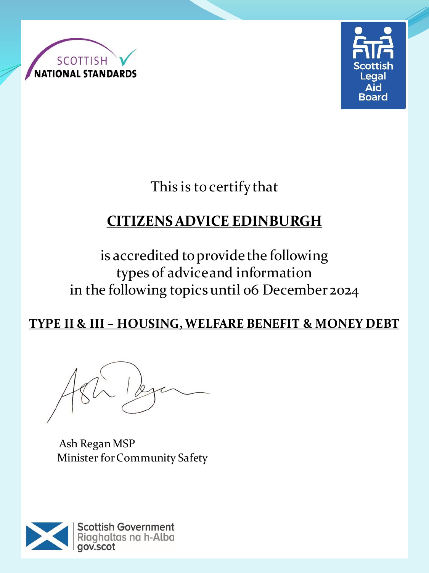



This is to certify that

# **CITIZENS ADVICE EDINBURGH**

is accredited to provide the following types of advice and information in the following topics until 06 December 2024

### **TYPE II & III – HOUSING, WELFARE BENEFIT & MONEY DEBT**

Ash Regan MSP Minister for Community Safety

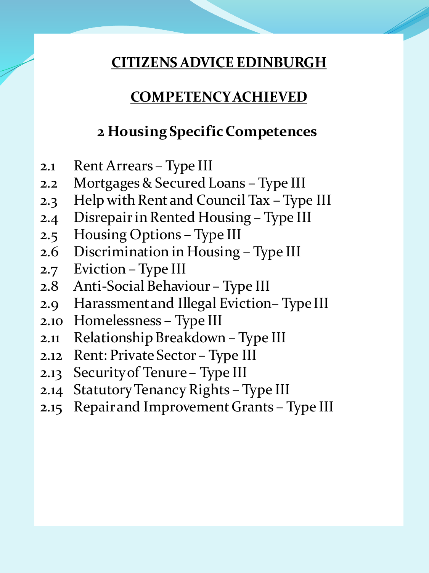#### **COMPETENCY ACHIEVED**

#### **2 Housing Specific Competences**

- 2.1 Rent Arrears Type III
- 2.2 Mortgages & Secured Loans Type III
- 2.3 Help with Rent and Council Tax Type III
- 2.4 Disrepair in Rented Housing Type III
- 2.5 Housing Options Type III
- 2.6 Discrimination in Housing Type III
- 2.7 Eviction Type III
- 2.8 Anti-Social Behaviour Type III
- 2.9 Harassment and Illegal Eviction– Type III
- 2.10 Homelessness Type III
- 2.11 Relationship Breakdown Type III
- 2.12 Rent: Private Sector Type III
- 2.13 Security of Tenure Type III
- 2.14 Statutory Tenancy Rights Type III
- 2.15 Repair and Improvement Grants Type III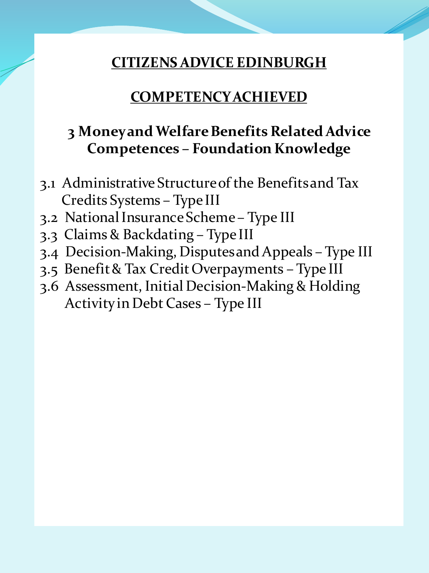### **COMPETENCY ACHIEVED**

## **3 Money and Welfare Benefits Related Advice Competences – Foundation Knowledge**

- 3.1 Administrative Structure of the Benefits and Tax Credits Systems – Type III
- 3.2 National Insurance Scheme Type III
- 3.3 Claims & Backdating Type III
- 3.4 Decision-Making, Disputes and Appeals Type III
- 3.5 Benefit & Tax Credit Overpayments Type III
- 3.6 Assessment, Initial Decision-Making & Holding Activity in Debt Cases – Type III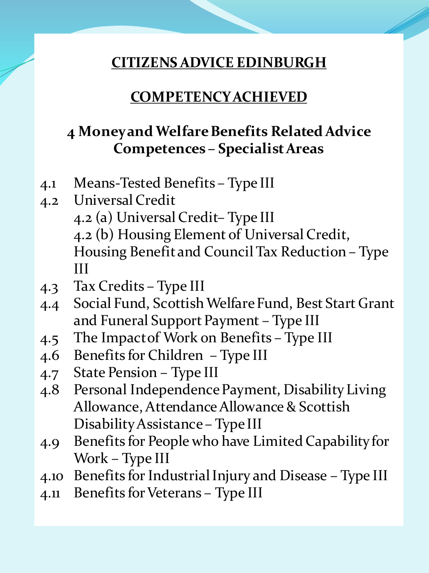#### **COMPETENCY ACHIEVED**

## **4 Money and Welfare Benefits Related Advice Competences – Specialist Areas**

- 4.1 Means-Tested Benefits Type III
- 4.2 Universal Credit 4.2 (a) Universal Credit– Type III 4.2 (b) Housing Element of Universal Credit, Housing Benefit and Council Tax Reduction – Type III
- 4.3 Tax Credits Type III
- 4.4 Social Fund, Scottish Welfare Fund, Best Start Grant and Funeral Support Payment – Type III
- 4.5 The Impact of Work on Benefits Type III
- 4.6 Benefits for Children Type III
- 4.7 State Pension Type III
- 4.8 Personal Independence Payment, Disability Living Allowance, Attendance Allowance & Scottish Disability Assistance – Type III
- 4.9 Benefits for People who have Limited Capability for Work – Type III
- 4.10 Benefits for Industrial Injury and Disease Type III
- 4.11 Benefits for Veterans Type III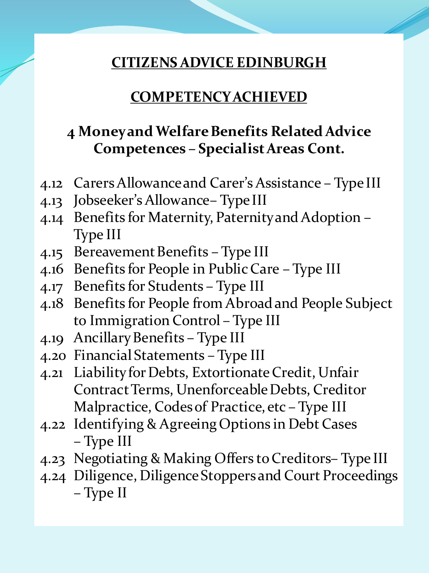#### **COMPETENCY ACHIEVED**

## **4 Money and Welfare Benefits Related Advice Competences – Specialist Areas Cont.**

- 4.12 Carers Allowance and Carer's Assistance Type III
- 4.13 Jobseeker's Allowance– Type III
- 4.14 Benefits for Maternity, Paternity and Adoption Type III
- 4.15 Bereavement Benefits Type III
- 4.16 Benefits for People in Public Care Type III
- 4.17 Benefits for Students Type III
- 4.18 Benefits for People from Abroad and People Subject to Immigration Control – Type III
- 4.19 Ancillary Benefits Type III
- 4.20 Financial Statements Type III
- 4.21 Liability for Debts, Extortionate Credit, Unfair Contract Terms, Unenforceable Debts, Creditor Malpractice, Codes of Practice, etc – Type III
- 4.22 Identifying & Agreeing Options in Debt Cases – Type III
- 4.23 Negotiating & Making Offers to Creditors– Type III
- 4.24 Diligence, Diligence Stoppers and Court Proceedings – Type II